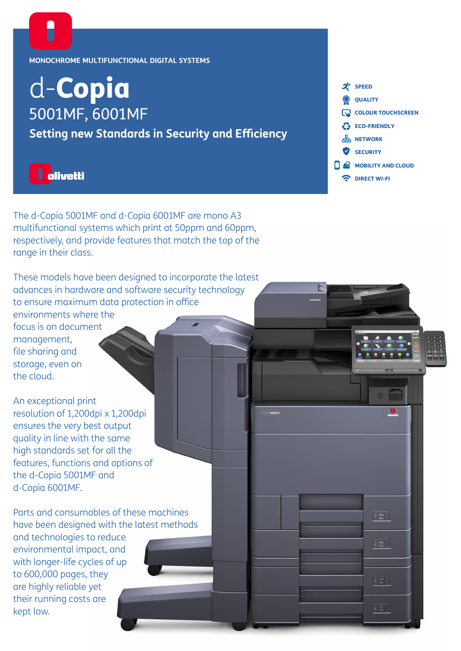## **MONOCHROME MULTIFUNCTIONAL DIGITAL SYSTEMS**

# d-Copia 5001MF, 6001MF

**Setting new Standards in Security and Efficiency**



The d-Copia 5001MF and d-Copia 6001MF are mono A3 multifunctional systems which print at 50ppm and 60ppm, respectively, and provide features that match the top of the range in their class.

These models have been designed to incorporate the latest advances in hardware and software security technology to ensure maximum data protection in office environments where the focus is on document management, file sharing and storage, even on the cloud.

An exceptional print resolution of 1,200dpi x 1,200dpi ensures the very best output quality in line with the same high standards set for all the features, functions and options of the d-Copia 5001MF and d-Copia 6001MF.

Parts and consumables of these machines have been designed with the latest methods

and technologies to reduce environmental impact, and with longer-life cycles of up to 600,000 pages, they are highly reliable yet their running costs are kept low.



 $\begin{array}{|c|c|} \hline & \mathsf{Plain} & \\ \hline & \mathsf{Ad}\odot & \\ \hline \end{array}$ 

 $\boxed{2 \frac{\text{Plain}}{\text{A3D}}}$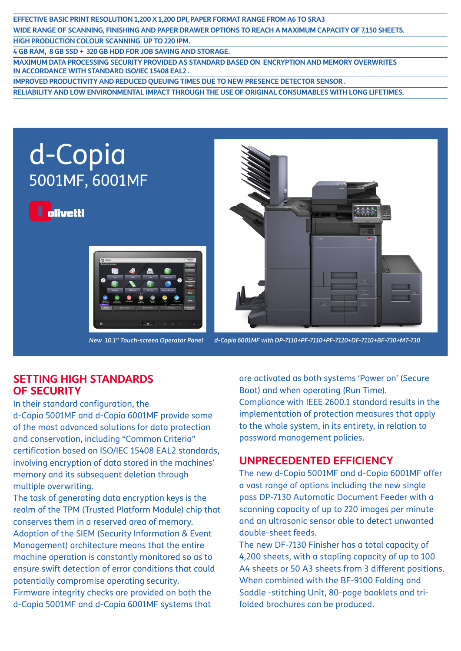## **EFFECTIVE BASIC PRINT RESOLUTION 1,200 X 1,200 DPI, PAPER FORMAT RANGE FROM A6 TO SRA3 WIDE RANGE OF SCANNING, FINISHING AND PAPER DRAWER OPTIONS TO REACH A MAXIMUM CAPACITY OF 7,150 SHEETS. HIGH PRODUCTION COLOUR SCANNING UP TO 220 IPM.**

**4 GB RAM, 8 GB SSD + 320 GB HDD FOR JOB SAVING AND STORAGE.**

**MAXIMUM DATA PROCESSING SECURITY PROVIDED AS STANDARD BASED ON ENCRYPTION AND MEMORY OVERWRITES IN ACCORDANCE WITH STANDARD ISO/IEC 15408 EAL2 .**

**IMPROVED PRODUCTIVITY AND REDUCED QUEUING TIMES DUE TO NEW PRESENCE DETECTOR SENSOR .**

**RELIABILITY AND LOW ENVIRONMENTAL IMPACT THROUGH THE USE OF ORIGINAL CONSUMABLES WITH LONG LIFETIMES.** 



*New 10.1" Touch-screen Operator Panel d-Copia 6001MF with DP-7110+PF-7110+PF-7120+DF-7110+BF-730+MT-730*

## **SETTING HIGH STANDARDS OF SECURITY**

In their standard configuration, the d-Copia 5001MF and d-Copia 6001MF provide some of the most advanced solutions for data protection and conservation, including "Common Criteria" certification based on ISO/IEC 15408 EAL2 standards, involving encryption of data stored in the machines' memory and its subsequent deletion through multiple overwriting.

The task of generating data encryption keys is the realm of the TPM (Trusted Platform Module) chip that conserves them in a reserved area of memory. Adoption of the SIEM (Security Information & Event Management) architecture means that the entire machine operation is constantly monitored so as to ensure swift detection of error conditions that could potentially compromise operating security. Firmware integrity checks are provided on both the d-Copia 5001MF and d-Copia 6001MF systems that

are activated as both systems 'Power on' (Secure Boot) and when operating (Run Time). Compliance with IEEE 2600.1 standard results in the implementation of protection measures that apply to the whole system, in its entirety, in relation to password management policies.

# **UNPRECEDENTED EFFICIENCY**

The new d-Copia 5001MF and d-Copia 6001MF offer a vast range of options including the new single pass DP-7130 Automatic Document Feeder with a scanning capacity of up to 220 images per minute and an ultrasonic sensor able to detect unwanted double-sheet feeds.

The new DF-7130 Finisher has a total capacity of 4,200 sheets, with a stapling capacity of up to 100 A4 sheets or 50 A3 sheets from 3 different positions. When combined with the BF-9100 Folding and Saddle -stitching Unit, 80-page booklets and trifolded brochures can be produced.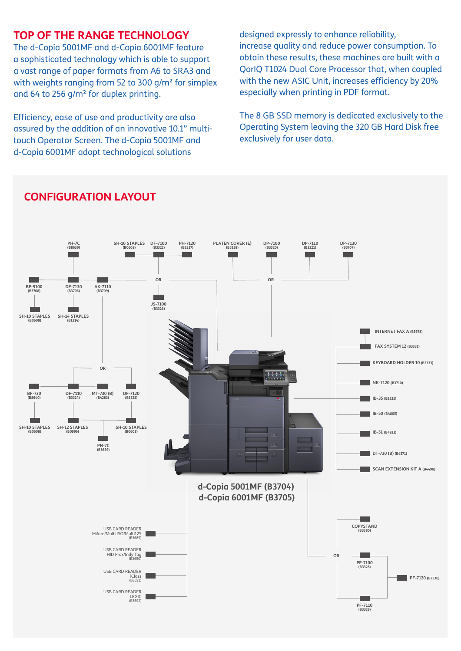# **TOP OF THE RANGE TECHNOLOGY**

The d-Copia 5001MF and d-Copia 6001MF feature a sophisticated technology which is able to support a vast range of paper formats from A6 to SRA3 and with weights ranging from 52 to 300 g/m<sup>2</sup> for simplex and 64 to 256 g/m² for duplex printing.

Efficiency, ease of use and productivity are also assured by the addition of an innovative 10.1" multitouch Operator Screen. The d-Copia 5001MF and d-Copia 6001MF adopt technological solutions

designed expressly to enhance reliability, increase quality and reduce power consumption. To obtain these results, these machines are built with a QorIQ T1024 Dual Core Processor that, when coupled with the new ASIC Unit, increases efficiency by 20% especially when printing in PDF format.

The 8 GB SSD memory is dedicated exclusively to the Operating System leaving the 320 GB Hard Disk free exclusively for user data.